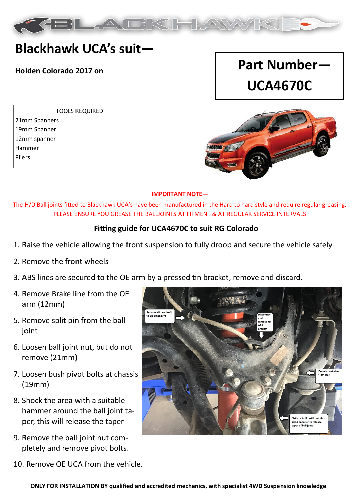

## **Blackhawk UCA's suit—**

TOOLS REQUIRED 21mm Spanners 19mm Spanner 12mm spanner Hammer Pliers

# **Holden Colorado 2017 on Part Number— UCA4670C**



#### **IMPORTANT NOTE—**

The H/D Ball joints fitted to Blackhawk UCA's have been manufactured in the Hard to hard style and require regular greasing, PLEASE ENSURE YOU GREASE THE BALLJOINTS AT FITMENT & AT REGULAR SERVICE INTERVALS

#### **Fitting guide for UCA4670C to suit RG Colorado**

- 1. Raise the vehicle allowing the front suspension to fully droop and secure the vehicle safely
- 2. Remove the front wheels
- 3. ABS lines are secured to the OE arm by a pressed tin bracket, remove and discard.
- 4. Remove Brake line from the OE arm (12mm)
- 5. Remove split pin from the ball joint
- 6. Loosen ball joint nut, but do not remove (21mm)
- 7. Loosen bush pivot bolts at chassis (19mm)
- 8. Shock the area with a suitable hammer around the ball joint taper, this will release the taper
- 9. Remove the ball joint nut completely and remove pivot bolts.
- 10. Remove OE UCA from the vehicle.

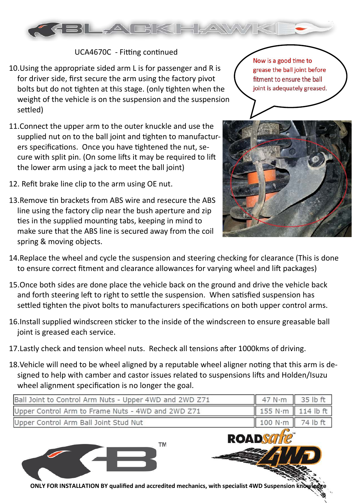

### UCA4670C - Fitting continued

- 10.Using the appropriate sided arm L is for passenger and R is for driver side, first secure the arm using the factory pivot bolts but do not tighten at this stage. (only tighten when the weight of the vehicle is on the suspension and the suspension settled)
- 11.Connect the upper arm to the outer knuckle and use the supplied nut on to the ball joint and tighten to manufacturers specifications. Once you have tightened the nut, secure with split pin. (On some lifts it may be required to lift the lower arm using a jack to meet the ball joint)
- 12. Refit brake line clip to the arm using OE nut.
- 13.Remove tin brackets from ABS wire and resecure the ABS line using the factory clip near the bush aperture and zip ties in the supplied mounting tabs, keeping in mind to make sure that the ABS line is secured away from the coil spring & moving objects.

Now is a good time to grease the ball joint before fitment to ensure the ball joint is adequately greased.



- 14.Replace the wheel and cycle the suspension and steering checking for clearance (This is done to ensure correct fitment and clearance allowances for varying wheel and lift packages)
- 15.Once both sides are done place the vehicle back on the ground and drive the vehicle back and forth steering left to right to settle the suspension. When satisfied suspension has settled tighten the pivot bolts to manufacturers specifications on both upper control arms.
- 16.Install supplied windscreen sticker to the inside of the windscreen to ensure greasable ball joint is greased each service.
- 17.Lastly check and tension wheel nuts. Recheck all tensions after 1000kms of driving.
- 18.Vehicle will need to be wheel aligned by a reputable wheel aligner noting that this arm is designed to help with camber and castor issues related to suspensions lifts and Holden/Isuzu wheel alignment specification is no longer the goal.

| Ball Joint to Control Arm Nuts - Upper 4WD and 2WD Z71                                                | 47 N·m            | 35 lb ft  |
|-------------------------------------------------------------------------------------------------------|-------------------|-----------|
| Upper Control Arm to Frame Nuts - 4WD and 2WD Z71                                                     | 155 N·m           | 114 lb ft |
| Upper Control Arm Ball Joint Stud Nut                                                                 | 100 N·m           | 74 lb ft  |
| <b>TM</b>                                                                                             | <b>ROADSCrite</b> |           |
| ONLY FOR INSTALLATION BY qualified and accredited mechanics, with specialist 4WD Suspension knowledge |                   |           |